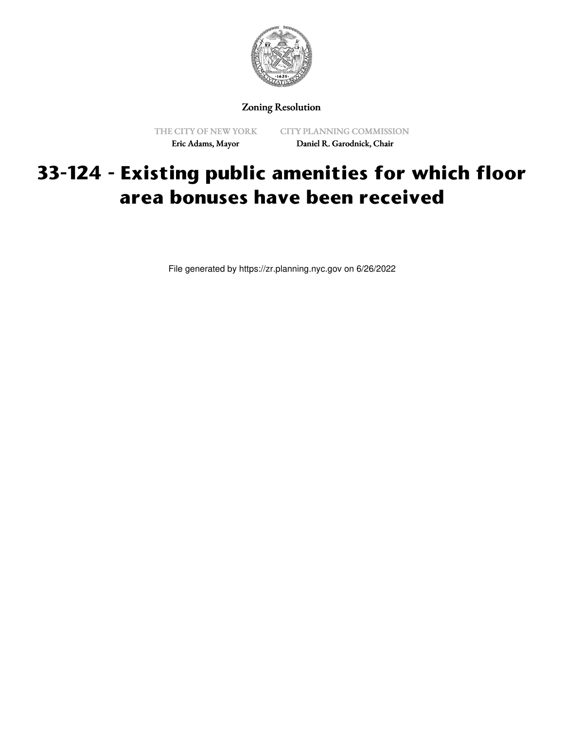

Zoning Resolution

THE CITY OF NEW YORK Eric Adams, Mayor

CITY PLANNING COMMISSION Daniel R. Garodnick, Chair

## **33-124 - Existing public amenities for which floor area bonuses have been received**

File generated by https://zr.planning.nyc.gov on 6/26/2022